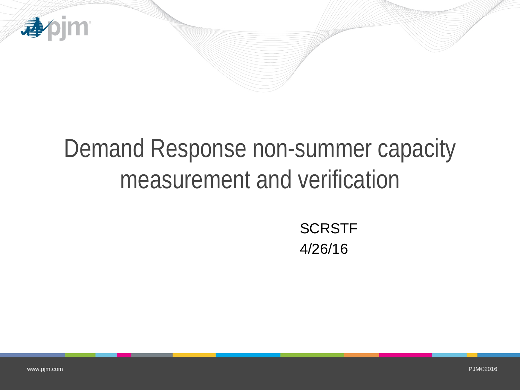

# Demand Response non-summer capacity measurement and verification

**SCRSTF** 4/26/16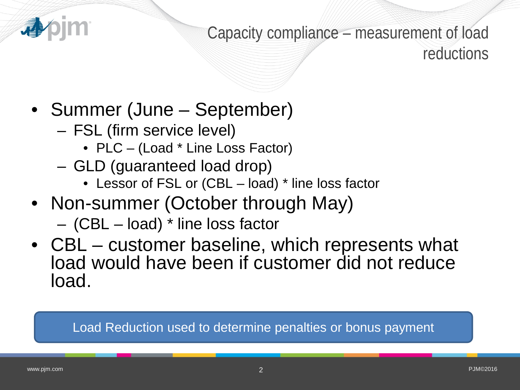

Capacity compliance – measurement of load reductions

- Summer (June September)
	- FSL (firm service level)
		- PLC (Load \* Line Loss Factor)
	- GLD (guaranteed load drop)
		- Lessor of FSL or (CBL load) \* line loss factor
- Non-summer (October through May)
	- (CBL load) \* line loss factor
- CBL customer baseline, which represents what load would have been if customer did not reduce load.

Load Reduction used to determine penalties or bonus payment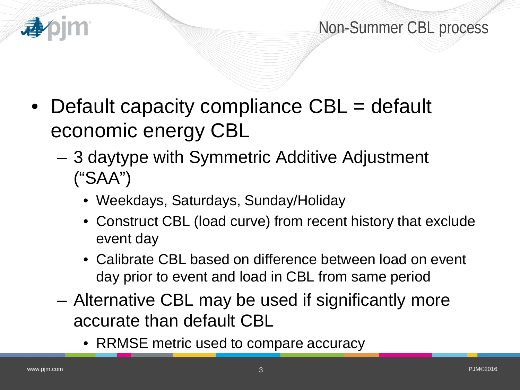

Non-Summer CBL process

- Default capacity compliance CBL = default economic energy CBL
	- 3 daytype with Symmetric Additive Adjustment ("SAA")
		- Weekdays, Saturdays, Sunday/Holiday
		- Construct CBL (load curve) from recent history that exclude event day
		- Calibrate CBL based on difference between load on event day prior to event and load in CBL from same period
	- Alternative CBL may be used if significantly more accurate than default CBL
		- RRMSE metric used to compare accuracy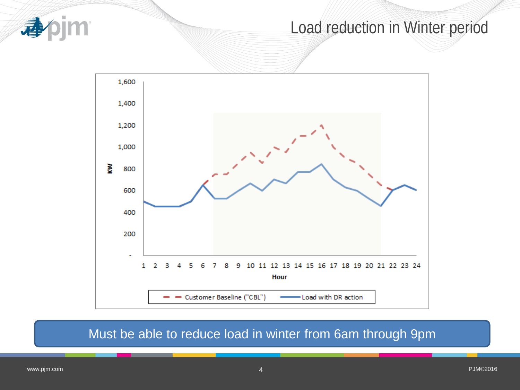

## Load reduction in Winter period



#### Must be able to reduce load in winter from 6am through 9pm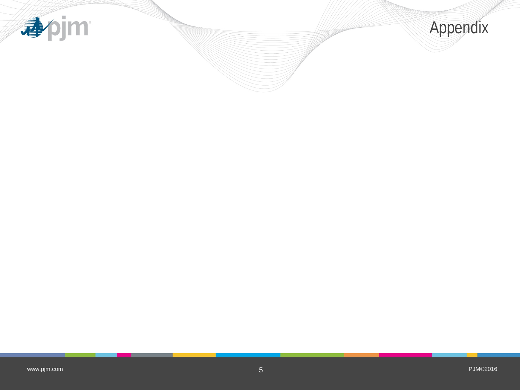

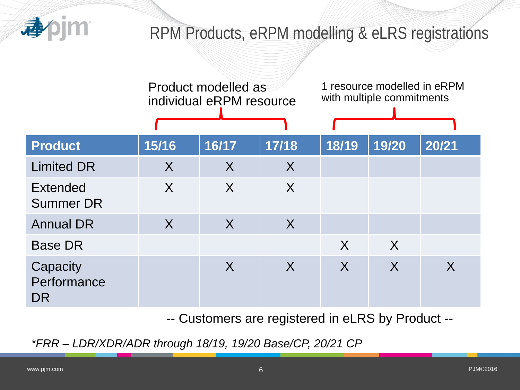

## RPM Products, eRPM modelling & eLRS registrations

|                                     | Product modelled as<br>individual eRPM resource |         |         | 1 resource modelled in eRPM<br>with multiple commitments |              |       |
|-------------------------------------|-------------------------------------------------|---------|---------|----------------------------------------------------------|--------------|-------|
| <b>Product</b>                      | 15/16                                           | 16/17   | 17/18   | 18/19                                                    | 19/20        | 20/21 |
| <b>Limited DR</b>                   | $\sf X$                                         | $\sf X$ | $\sf X$ |                                                          |              |       |
| <b>Extended</b><br><b>Summer DR</b> | $\sf X$                                         | $\sf X$ | $\sf X$ |                                                          |              |       |
| <b>Annual DR</b>                    | $\sf X$                                         | $\sf X$ | $\sf X$ |                                                          |              |       |
| <b>Base DR</b>                      |                                                 |         |         | $\sf X$                                                  | $\mathsf{X}$ |       |
| Capacity<br>Performance<br>DR       |                                                 | $\sf X$ | $\sf X$ | $\sf X$                                                  | $\sf X$      | X     |

-- Customers are registered in eLRS by Product --

*\*FRR – LDR/XDR/ADR through 18/19, 19/20 Base/CP, 20/21 CP*